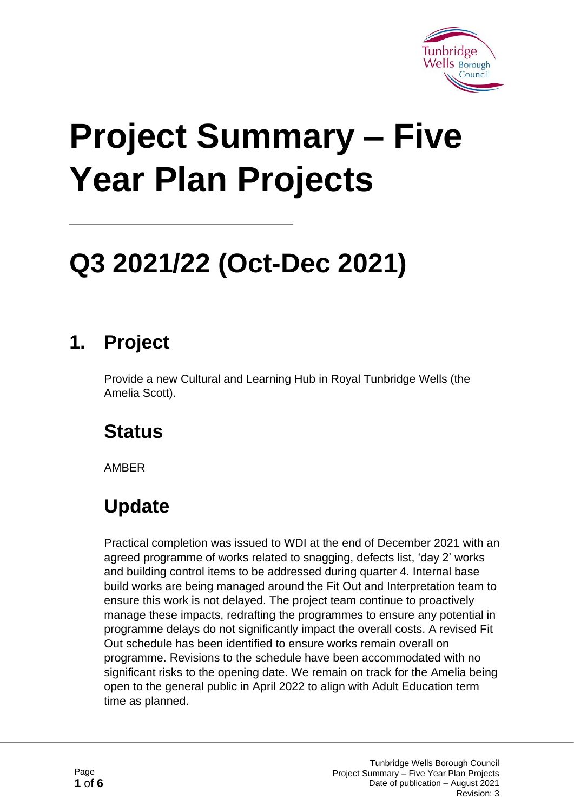

# **Project Summary – Five Year Plan Projects**

## **Q3 2021/22 (Oct-Dec 2021)**

#### **1. Project**

Provide a new Cultural and Learning Hub in Royal Tunbridge Wells (the Amelia Scott).

#### **Status**

AMBER

#### **Update**

Practical completion was issued to WDI at the end of December 2021 with an agreed programme of works related to snagging, defects list, 'day 2' works and building control items to be addressed during quarter 4. Internal base build works are being managed around the Fit Out and Interpretation team to ensure this work is not delayed. The project team continue to proactively manage these impacts, redrafting the programmes to ensure any potential in programme delays do not significantly impact the overall costs. A revised Fit Out schedule has been identified to ensure works remain overall on programme. Revisions to the schedule have been accommodated with no significant risks to the opening date. We remain on track for the Amelia being open to the general public in April 2022 to align with Adult Education term time as planned.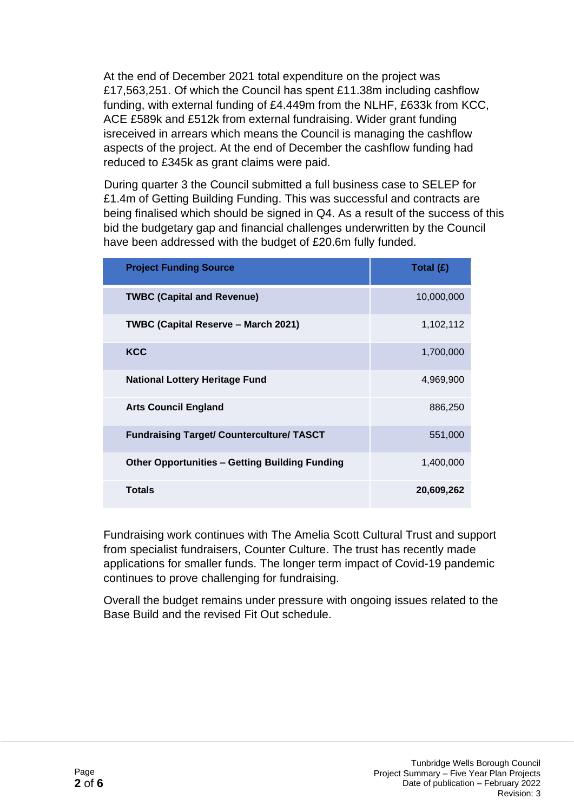At the end of December 2021 total expenditure on the project was £17,563,251. Of which the Council has spent £11.38m including cashflow funding, with external funding of £4.449m from the NLHF, £633k from KCC, ACE £589k and £512k from external fundraising. Wider grant funding isreceived in arrears which means the Council is managing the cashflow aspects of the project. At the end of December the cashflow funding had reduced to £345k as grant claims were paid.

During quarter 3 the Council submitted a full business case to SELEP for £1.4m of Getting Building Funding. This was successful and contracts are being finalised which should be signed in Q4. As a result of the success of this bid the budgetary gap and financial challenges underwritten by the Council have been addressed with the budget of £20.6m fully funded.

| <b>Project Funding Source</b>                         | Total $(E)$ |
|-------------------------------------------------------|-------------|
| <b>TWBC (Capital and Revenue)</b>                     | 10,000,000  |
| TWBC (Capital Reserve - March 2021)                   | 1,102,112   |
| <b>KCC</b>                                            | 1,700,000   |
| <b>National Lottery Heritage Fund</b>                 | 4,969,900   |
| <b>Arts Council England</b>                           | 886,250     |
| <b>Fundraising Target/ Counterculture/ TASCT</b>      | 551,000     |
| <b>Other Opportunities - Getting Building Funding</b> | 1,400,000   |
| <b>Totals</b>                                         | 20,609,262  |

Fundraising work continues with The Amelia Scott Cultural Trust and support from specialist fundraisers, Counter Culture. The trust has recently made applications for smaller funds. The longer term impact of Covid-19 pandemic continues to prove challenging for fundraising.

Overall the budget remains under pressure with ongoing issues related to the Base Build and the revised Fit Out schedule.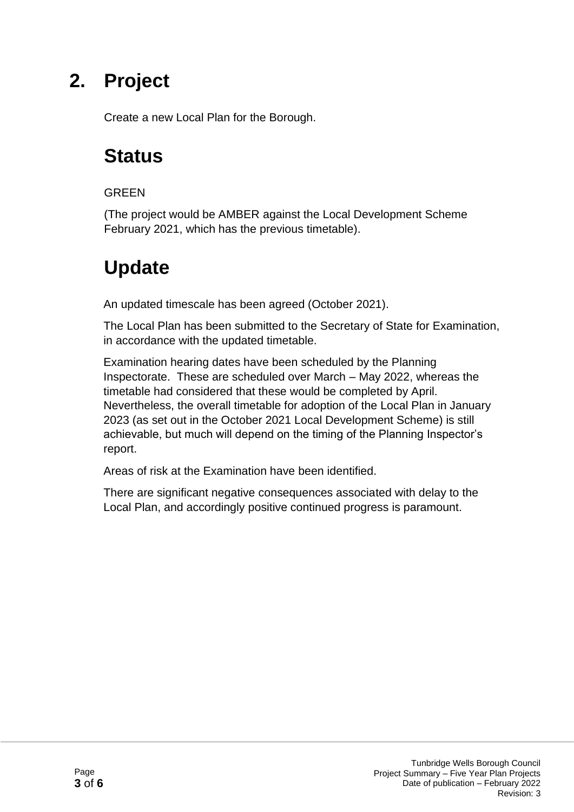Create a new Local Plan for the Borough.

#### **Status**

#### GREEN

(The project would be AMBER against the Local Development Scheme February 2021, which has the previous timetable).

#### **Update**

An updated timescale has been agreed (October 2021).

The Local Plan has been submitted to the Secretary of State for Examination, in accordance with the updated timetable.

Examination hearing dates have been scheduled by the Planning Inspectorate. These are scheduled over March – May 2022, whereas the timetable had considered that these would be completed by April. Nevertheless, the overall timetable for adoption of the Local Plan in January 2023 (as set out in the October 2021 Local Development Scheme) is still achievable, but much will depend on the timing of the Planning Inspector's report.

Areas of risk at the Examination have been identified.

There are significant negative consequences associated with delay to the Local Plan, and accordingly positive continued progress is paramount.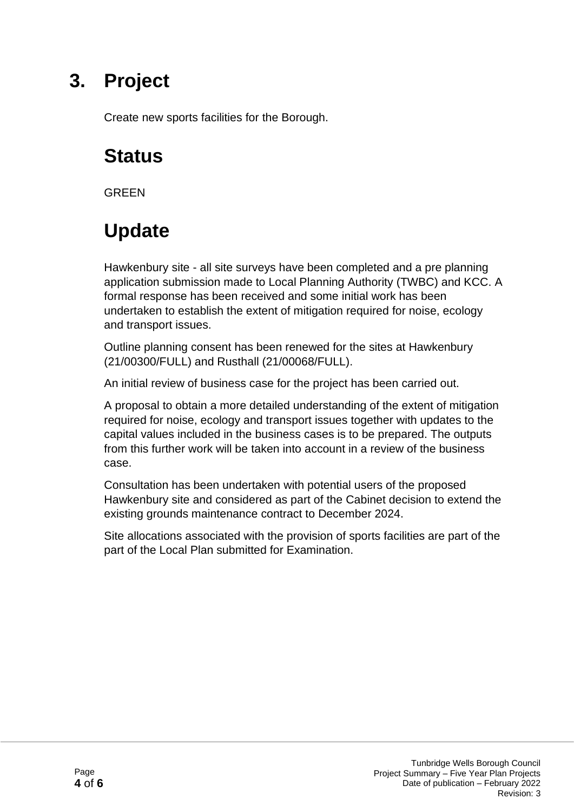Create new sports facilities for the Borough.

#### **Status**

**GRFFN** 

#### **Update**

Hawkenbury site - all site surveys have been completed and a pre planning application submission made to Local Planning Authority (TWBC) and KCC. A formal response has been received and some initial work has been undertaken to establish the extent of mitigation required for noise, ecology and transport issues.

Outline planning consent has been renewed for the sites at Hawkenbury (21/00300/FULL) and Rusthall (21/00068/FULL).

An initial review of business case for the project has been carried out.

A proposal to obtain a more detailed understanding of the extent of mitigation required for noise, ecology and transport issues together with updates to the capital values included in the business cases is to be prepared. The outputs from this further work will be taken into account in a review of the business case.

Consultation has been undertaken with potential users of the proposed Hawkenbury site and considered as part of the Cabinet decision to extend the existing grounds maintenance contract to December 2024.

Site allocations associated with the provision of sports facilities are part of the part of the Local Plan submitted for Examination.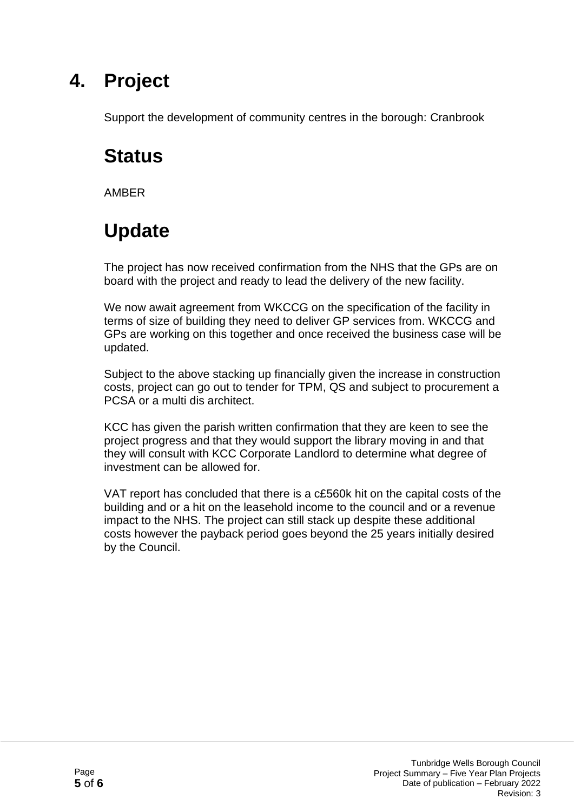Support the development of community centres in the borough: Cranbrook

#### **Status**

AMBER

### **Update**

The project has now received confirmation from the NHS that the GPs are on board with the project and ready to lead the delivery of the new facility.

We now await agreement from WKCCG on the specification of the facility in terms of size of building they need to deliver GP services from. WKCCG and GPs are working on this together and once received the business case will be updated.

Subject to the above stacking up financially given the increase in construction costs, project can go out to tender for TPM, QS and subject to procurement a PCSA or a multi dis architect.

KCC has given the parish written confirmation that they are keen to see the project progress and that they would support the library moving in and that they will consult with KCC Corporate Landlord to determine what degree of investment can be allowed for.

VAT report has concluded that there is a c£560k hit on the capital costs of the building and or a hit on the leasehold income to the council and or a revenue impact to the NHS. The project can still stack up despite these additional costs however the payback period goes beyond the 25 years initially desired by the Council.